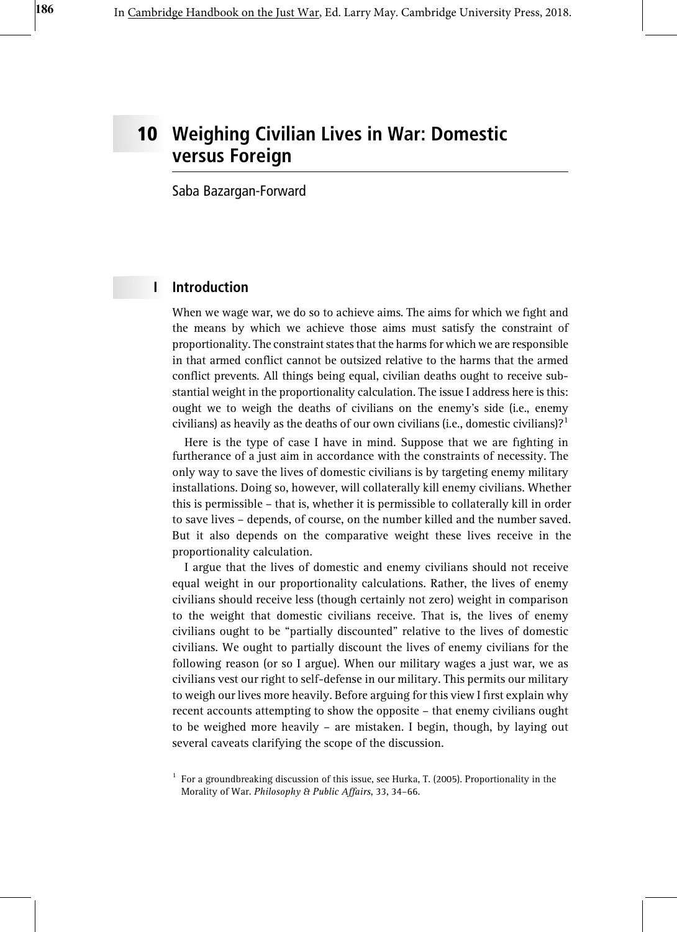# 10 Weighing Civilian Lives in War: Domestic versus Foreign

Saba Bazargan-Forward

## I Introduction

When we wage war, we do so to achieve aims. The aims for which we fight and the means by which we achieve those aims must satisfy the constraint of proportionality. The constraint states that the harms for which we are responsible in that armed conflict cannot be outsized relative to the harms that the armed conflict prevents. All things being equal, civilian deaths ought to receive substantial weight in the proportionality calculation. The issue I address here is this: ought we to weigh the deaths of civilians on the enemy's side (i.e., enemy civilians) as heavily as the deaths of our own civilians (i.e., domestic civilians)?<sup>1</sup>

Here is the type of case I have in mind. Suppose that we are fighting in furtherance of a just aim in accordance with the constraints of necessity. The only way to save the lives of domestic civilians is by targeting enemy military installations. Doing so, however, will collaterally kill enemy civilians. Whether this is permissible – that is, whether it is permissible to collaterally kill in order to save lives – depends, of course, on the number killed and the number saved. But it also depends on the comparative weight these lives receive in the proportionality calculation.

I argue that the lives of domestic and enemy civilians should not receive equal weight in our proportionality calculations. Rather, the lives of enemy civilians should receive less (though certainly not zero) weight in comparison to the weight that domestic civilians receive. That is, the lives of enemy civilians ought to be "partially discounted" relative to the lives of domestic civilians. We ought to partially discount the lives of enemy civilians for the following reason (or so I argue). When our military wages a just war, we as civilians vest our right to self-defense in our military. This permits our military to weigh our lives more heavily. Before arguing for this view I first explain why recent accounts attempting to show the opposite – that enemy civilians ought to be weighed more heavily – are mistaken. I begin, though, by laying out several caveats clarifying the scope of the discussion.

 $1$  For a groundbreaking discussion of this issue, see Hurka, T. (2005). Proportionality in the Morality of War. Philosophy & Public Affairs, 33, 34–66.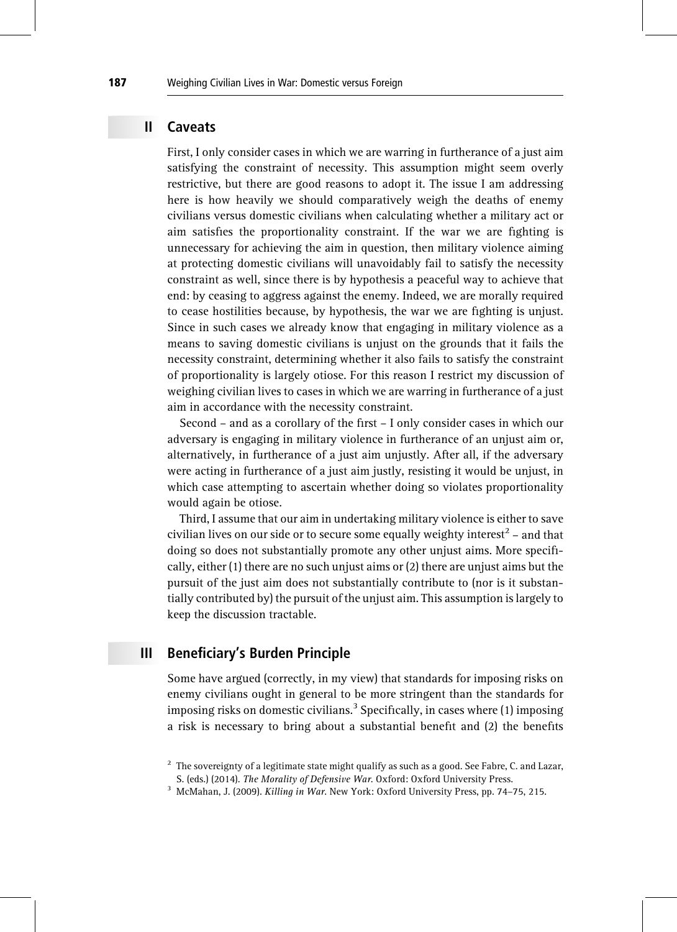### II Caveats

First, I only consider cases in which we are warring in furtherance of a just aim satisfying the constraint of necessity. This assumption might seem overly restrictive, but there are good reasons to adopt it. The issue I am addressing here is how heavily we should comparatively weigh the deaths of enemy civilians versus domestic civilians when calculating whether a military act or aim satisfies the proportionality constraint. If the war we are fighting is unnecessary for achieving the aim in question, then military violence aiming at protecting domestic civilians will unavoidably fail to satisfy the necessity constraint as well, since there is by hypothesis a peaceful way to achieve that end: by ceasing to aggress against the enemy. Indeed, we are morally required to cease hostilities because, by hypothesis, the war we are fighting is unjust. Since in such cases we already know that engaging in military violence as a means to saving domestic civilians is unjust on the grounds that it fails the necessity constraint, determining whether it also fails to satisfy the constraint of proportionality is largely otiose. For this reason I restrict my discussion of weighing civilian lives to cases in which we are warring in furtherance of a just aim in accordance with the necessity constraint.

Second – and as a corollary of the first – I only consider cases in which our adversary is engaging in military violence in furtherance of an unjust aim or, alternatively, in furtherance of a just aim unjustly. After all, if the adversary were acting in furtherance of a just aim justly, resisting it would be unjust, in which case attempting to ascertain whether doing so violates proportionality would again be otiose.

Third, I assume that our aim in undertaking military violence is either to save civilian lives on our side or to secure some equally weighty interest<sup>2</sup> – and that doing so does not substantially promote any other unjust aims. More specifically, either (1) there are no such unjust aims or (2) there are unjust aims but the pursuit of the just aim does not substantially contribute to (nor is it substantially contributed by) the pursuit of the unjust aim. This assumption is largely to keep the discussion tractable.

### III Beneficiary's Burden Principle

Some have argued (correctly, in my view) that standards for imposing risks on enemy civilians ought in general to be more stringent than the standards for imposing risks on domestic civilians.<sup>3</sup> Specifically, in cases where (1) imposing a risk is necessary to bring about a substantial benefit and (2) the benefits

 $2\degree$  The sovereignty of a legitimate state might qualify as such as a good. See Fabre, C. and Lazar, S. (eds.) (2014). The Morality of Defensive War. Oxford: Oxford University Press.

<sup>&</sup>lt;sup>3</sup> McMahan, J. (2009). *Killing in War*. New York: Oxford University Press, pp. 74-75, 215.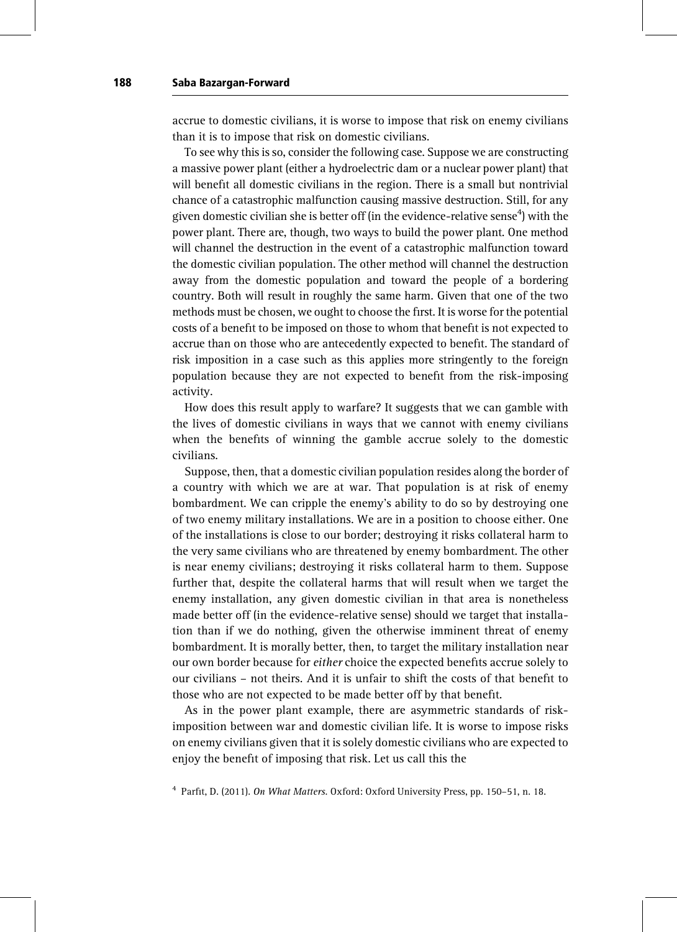accrue to domestic civilians, it is worse to impose that risk on enemy civilians than it is to impose that risk on domestic civilians.

To see why this is so, consider the following case. Suppose we are constructing a massive power plant (either a hydroelectric dam or a nuclear power plant) that will benefit all domestic civilians in the region. There is a small but nontrivial chance of a catastrophic malfunction causing massive destruction. Still, for any given domestic civilian she is better off (in the evidence-relative sense $^4$ ) with the power plant. There are, though, two ways to build the power plant. One method will channel the destruction in the event of a catastrophic malfunction toward the domestic civilian population. The other method will channel the destruction away from the domestic population and toward the people of a bordering country. Both will result in roughly the same harm. Given that one of the two methods must be chosen, we ought to choose the first. It is worse for the potential costs of a benefit to be imposed on those to whom that benefit is not expected to accrue than on those who are antecedently expected to benefit. The standard of risk imposition in a case such as this applies more stringently to the foreign population because they are not expected to benefit from the risk-imposing activity.

How does this result apply to warfare? It suggests that we can gamble with the lives of domestic civilians in ways that we cannot with enemy civilians when the benefits of winning the gamble accrue solely to the domestic civilians.

Suppose, then, that a domestic civilian population resides along the border of a country with which we are at war. That population is at risk of enemy bombardment. We can cripple the enemy's ability to do so by destroying one of two enemy military installations. We are in a position to choose either. One of the installations is close to our border; destroying it risks collateral harm to the very same civilians who are threatened by enemy bombardment. The other is near enemy civilians; destroying it risks collateral harm to them. Suppose further that, despite the collateral harms that will result when we target the enemy installation, any given domestic civilian in that area is nonetheless made better off (in the evidence-relative sense) should we target that installation than if we do nothing, given the otherwise imminent threat of enemy bombardment. It is morally better, then, to target the military installation near our own border because for either choice the expected benefits accrue solely to our civilians – not theirs. And it is unfair to shift the costs of that benefit to those who are not expected to be made better off by that benefit.

As in the power plant example, there are asymmetric standards of riskimposition between war and domestic civilian life. It is worse to impose risks on enemy civilians given that it is solely domestic civilians who are expected to enjoy the benefit of imposing that risk. Let us call this the

<sup>4</sup> Parfit, D. (2011). On What Matters. Oxford: Oxford University Press, pp. 150–51, n. 18.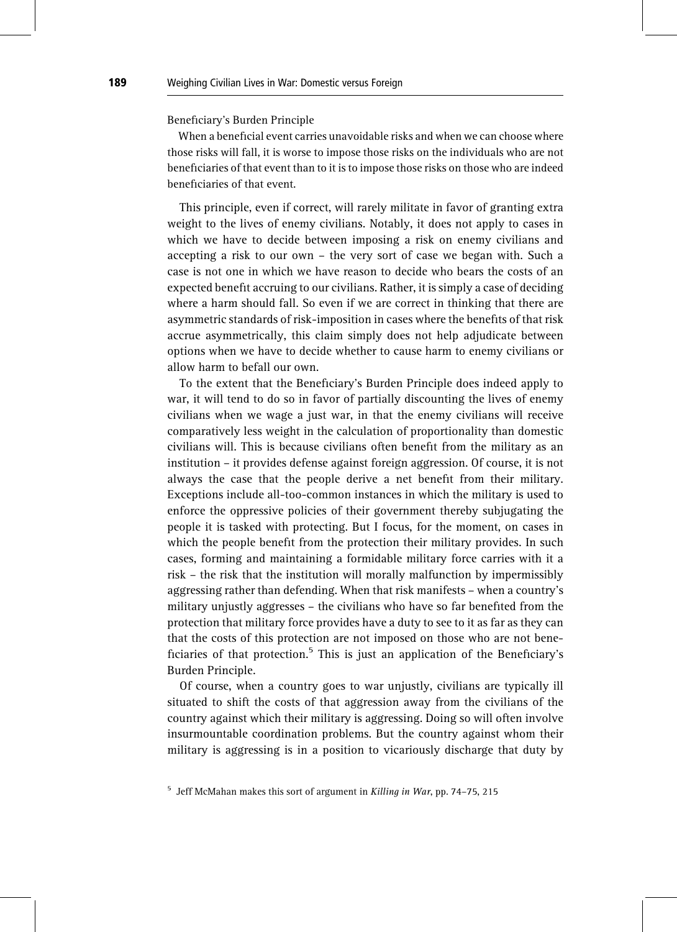#### Beneficiary's Burden Principle

When a beneficial event carries unavoidable risks and when we can choose where those risks will fall, it is worse to impose those risks on the individuals who are not beneficiaries of that event than to it is to impose those risks on those who are indeed beneficiaries of that event.

This principle, even if correct, will rarely militate in favor of granting extra weight to the lives of enemy civilians. Notably, it does not apply to cases in which we have to decide between imposing a risk on enemy civilians and accepting a risk to our own – the very sort of case we began with. Such a case is not one in which we have reason to decide who bears the costs of an expected benefit accruing to our civilians. Rather, it is simply a case of deciding where a harm should fall. So even if we are correct in thinking that there are asymmetric standards of risk-imposition in cases where the benefits of that risk accrue asymmetrically, this claim simply does not help adjudicate between options when we have to decide whether to cause harm to enemy civilians or allow harm to befall our own.

To the extent that the Beneficiary's Burden Principle does indeed apply to war, it will tend to do so in favor of partially discounting the lives of enemy civilians when we wage a just war, in that the enemy civilians will receive comparatively less weight in the calculation of proportionality than domestic civilians will. This is because civilians often benefit from the military as an institution – it provides defense against foreign aggression. Of course, it is not always the case that the people derive a net benefit from their military. Exceptions include all-too-common instances in which the military is used to enforce the oppressive policies of their government thereby subjugating the people it is tasked with protecting. But I focus, for the moment, on cases in which the people benefit from the protection their military provides. In such cases, forming and maintaining a formidable military force carries with it a risk – the risk that the institution will morally malfunction by impermissibly aggressing rather than defending. When that risk manifests – when a country's military unjustly aggresses – the civilians who have so far benefited from the protection that military force provides have a duty to see to it as far as they can that the costs of this protection are not imposed on those who are not beneficiaries of that protection.<sup>5</sup> This is just an application of the Beneficiary's Burden Principle.

Of course, when a country goes to war unjustly, civilians are typically ill situated to shift the costs of that aggression away from the civilians of the country against which their military is aggressing. Doing so will often involve insurmountable coordination problems. But the country against whom their military is aggressing is in a position to vicariously discharge that duty by

 $5$  Jeff McMahan makes this sort of argument in Killing in War, pp. 74–75, 215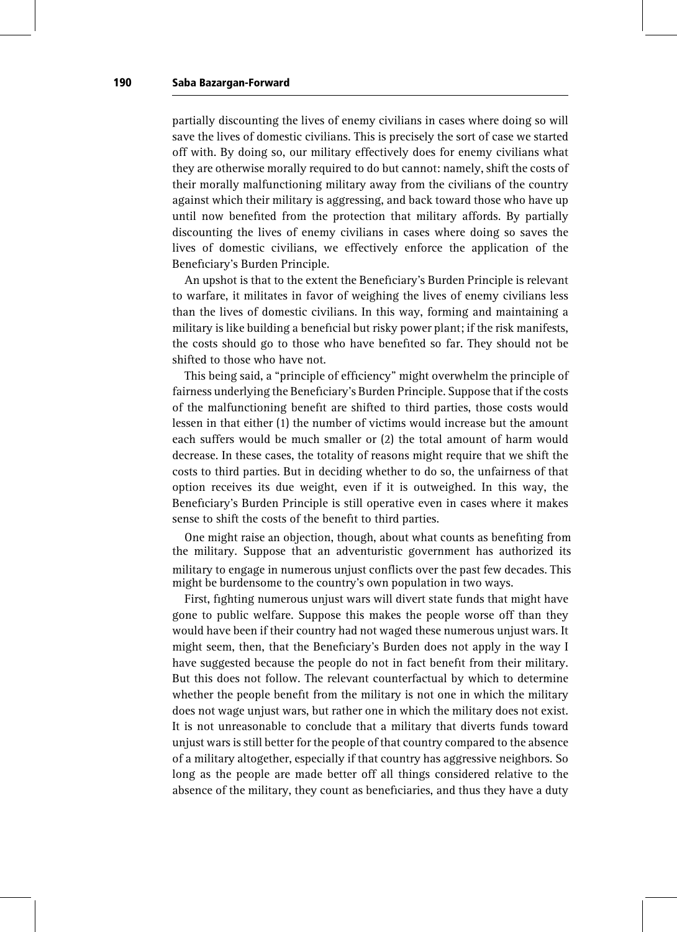partially discounting the lives of enemy civilians in cases where doing so will save the lives of domestic civilians. This is precisely the sort of case we started off with. By doing so, our military effectively does for enemy civilians what they are otherwise morally required to do but cannot: namely, shift the costs of their morally malfunctioning military away from the civilians of the country against which their military is aggressing, and back toward those who have up until now benefited from the protection that military affords. By partially discounting the lives of enemy civilians in cases where doing so saves the lives of domestic civilians, we effectively enforce the application of the Beneficiary's Burden Principle.

An upshot is that to the extent the Beneficiary's Burden Principle is relevant to warfare, it militates in favor of weighing the lives of enemy civilians less than the lives of domestic civilians. In this way, forming and maintaining a military is like building a beneficial but risky power plant; if the risk manifests, the costs should go to those who have benefited so far. They should not be shifted to those who have not.

This being said, a "principle of efficiency" might overwhelm the principle of fairness underlying the Beneficiary's Burden Principle. Suppose that if the costs of the malfunctioning benefit are shifted to third parties, those costs would lessen in that either (1) the number of victims would increase but the amount each suffers would be much smaller or (2) the total amount of harm would decrease. In these cases, the totality of reasons might require that we shift the costs to third parties. But in deciding whether to do so, the unfairness of that option receives its due weight, even if it is outweighed. In this way, the Beneficiary's Burden Principle is still operative even in cases where it makes sense to shift the costs of the benefit to third parties.

One might raise an objection, though, about what counts as benefiting from the military. Suppose that an adventuristic government has authorized its military to engage in numerous unjust conflicts over the past few decades. This might be burdensome to the country's own population in two ways.

First, fighting numerous unjust wars will divert state funds that might have gone to public welfare. Suppose this makes the people worse off than they would have been if their country had not waged these numerous unjust wars. It might seem, then, that the Beneficiary's Burden does not apply in the way I have suggested because the people do not in fact benefit from their military. But this does not follow. The relevant counterfactual by which to determine whether the people benefit from the military is not one in which the military does not wage unjust wars, but rather one in which the military does not exist. It is not unreasonable to conclude that a military that diverts funds toward unjust wars is still better for the people of that country compared to the absence of a military altogether, especially if that country has aggressive neighbors. So long as the people are made better off all things considered relative to the absence of the military, they count as beneficiaries, and thus they have a duty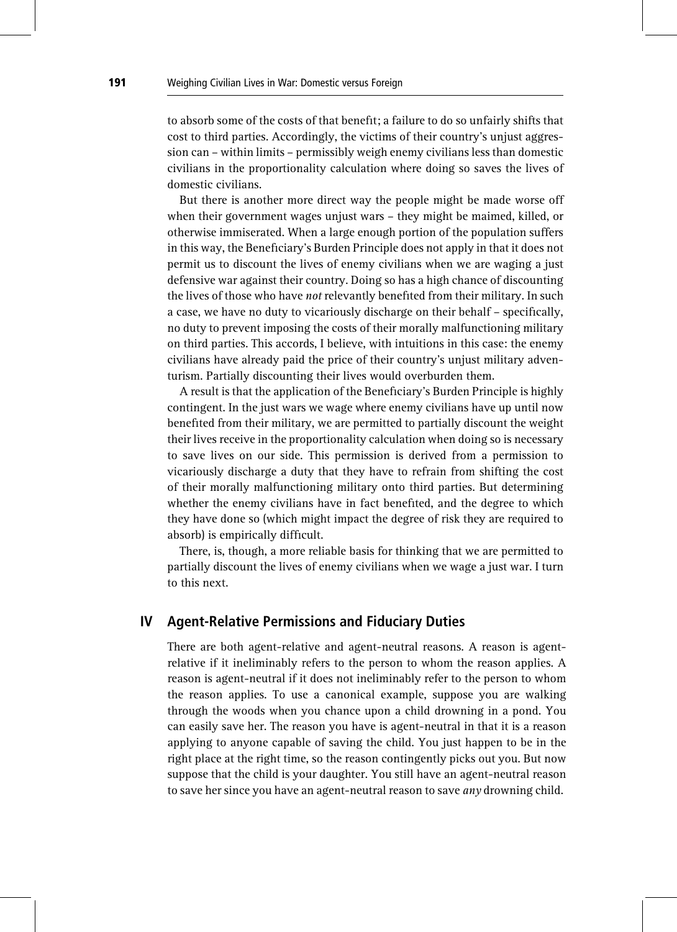to absorb some of the costs of that benefit; a failure to do so unfairly shifts that cost to third parties. Accordingly, the victims of their country's unjust aggression can – within limits – permissibly weigh enemy civilians less than domestic civilians in the proportionality calculation where doing so saves the lives of domestic civilians.

But there is another more direct way the people might be made worse off when their government wages unjust wars – they might be maimed, killed, or otherwise immiserated. When a large enough portion of the population suffers in this way, the Beneficiary's Burden Principle does not apply in that it does not permit us to discount the lives of enemy civilians when we are waging a just defensive war against their country. Doing so has a high chance of discounting the lives of those who have not relevantly benefited from their military. In such a case, we have no duty to vicariously discharge on their behalf – specifically, no duty to prevent imposing the costs of their morally malfunctioning military on third parties. This accords, I believe, with intuitions in this case: the enemy civilians have already paid the price of their country's unjust military adventurism. Partially discounting their lives would overburden them.

A result is that the application of the Beneficiary's Burden Principle is highly contingent. In the just wars we wage where enemy civilians have up until now benefited from their military, we are permitted to partially discount the weight their lives receive in the proportionality calculation when doing so is necessary to save lives on our side. This permission is derived from a permission to vicariously discharge a duty that they have to refrain from shifting the cost of their morally malfunctioning military onto third parties. But determining whether the enemy civilians have in fact benefited, and the degree to which they have done so (which might impact the degree of risk they are required to absorb) is empirically difficult.

There, is, though, a more reliable basis for thinking that we are permitted to partially discount the lives of enemy civilians when we wage a just war. I turn to this next.

### IV Agent-Relative Permissions and Fiduciary Duties

There are both agent-relative and agent-neutral reasons. A reason is agentrelative if it ineliminably refers to the person to whom the reason applies. A reason is agent-neutral if it does not ineliminably refer to the person to whom the reason applies. To use a canonical example, suppose you are walking through the woods when you chance upon a child drowning in a pond. You can easily save her. The reason you have is agent-neutral in that it is a reason applying to anyone capable of saving the child. You just happen to be in the right place at the right time, so the reason contingently picks out you. But now suppose that the child is your daughter. You still have an agent-neutral reason to save her since you have an agent-neutral reason to save  $any$  drowning child.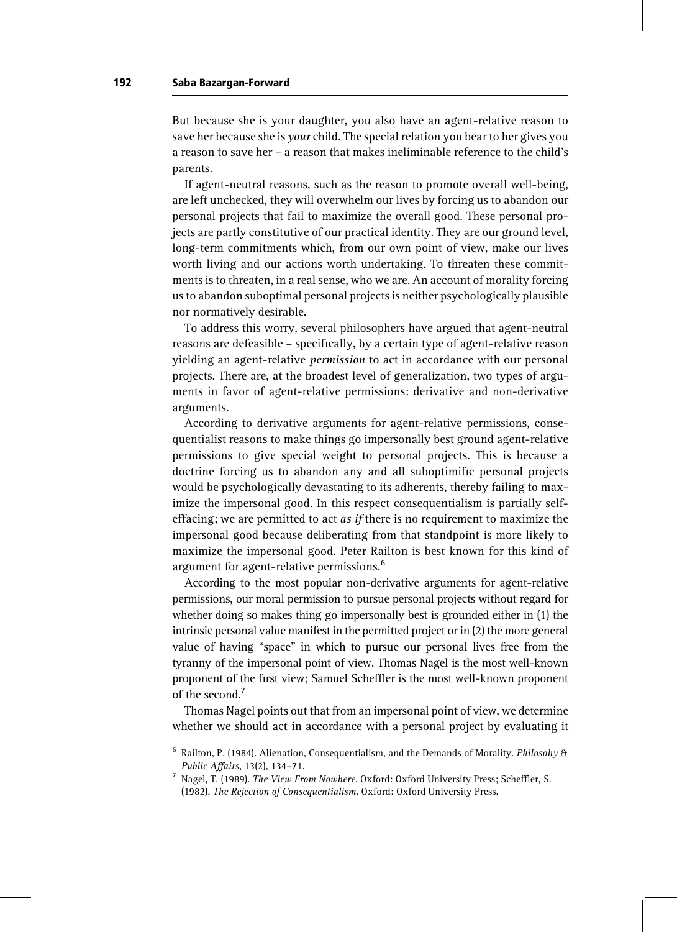But because she is your daughter, you also have an agent-relative reason to save her because she is *your* child. The special relation you bear to her gives you a reason to save her – a reason that makes ineliminable reference to the child's parents.

If agent-neutral reasons, such as the reason to promote overall well-being, are left unchecked, they will overwhelm our lives by forcing us to abandon our personal projects that fail to maximize the overall good. These personal projects are partly constitutive of our practical identity. They are our ground level, long-term commitments which, from our own point of view, make our lives worth living and our actions worth undertaking. To threaten these commitments is to threaten, in a real sense, who we are. An account of morality forcing us to abandon suboptimal personal projects is neither psychologically plausible nor normatively desirable.

To address this worry, several philosophers have argued that agent-neutral reasons are defeasible – specifically, by a certain type of agent-relative reason yielding an agent-relative permission to act in accordance with our personal projects. There are, at the broadest level of generalization, two types of arguments in favor of agent-relative permissions: derivative and non-derivative arguments.

According to derivative arguments for agent-relative permissions, consequentialist reasons to make things go impersonally best ground agent-relative permissions to give special weight to personal projects. This is because a doctrine forcing us to abandon any and all suboptimific personal projects would be psychologically devastating to its adherents, thereby failing to maximize the impersonal good. In this respect consequentialism is partially selfeffacing; we are permitted to act *as if* there is no requirement to maximize the impersonal good because deliberating from that standpoint is more likely to maximize the impersonal good. Peter Railton is best known for this kind of argument for agent-relative permissions.<sup>6</sup>

According to the most popular non-derivative arguments for agent-relative permissions, our moral permission to pursue personal projects without regard for whether doing so makes thing go impersonally best is grounded either in (1) the intrinsic personal value manifest in the permitted project or in (2) the more general value of having "space" in which to pursue our personal lives free from the tyranny of the impersonal point of view. Thomas Nagel is the most well-known proponent of the first view; Samuel Scheffler is the most well-known proponent of the second.<sup>7</sup>

Thomas Nagel points out that from an impersonal point of view, we determine whether we should act in accordance with a personal project by evaluating it

 $6$  Railton, P. (1984). Alienation, Consequentialism, and the Demands of Morality. Philosohy & Public Affairs, 13(2), 134–71.

<sup>7</sup> Nagel, T. (1989). The View From Nowhere. Oxford: Oxford University Press; Scheffler, S. (1982). The Rejection of Consequentialism. Oxford: Oxford University Press.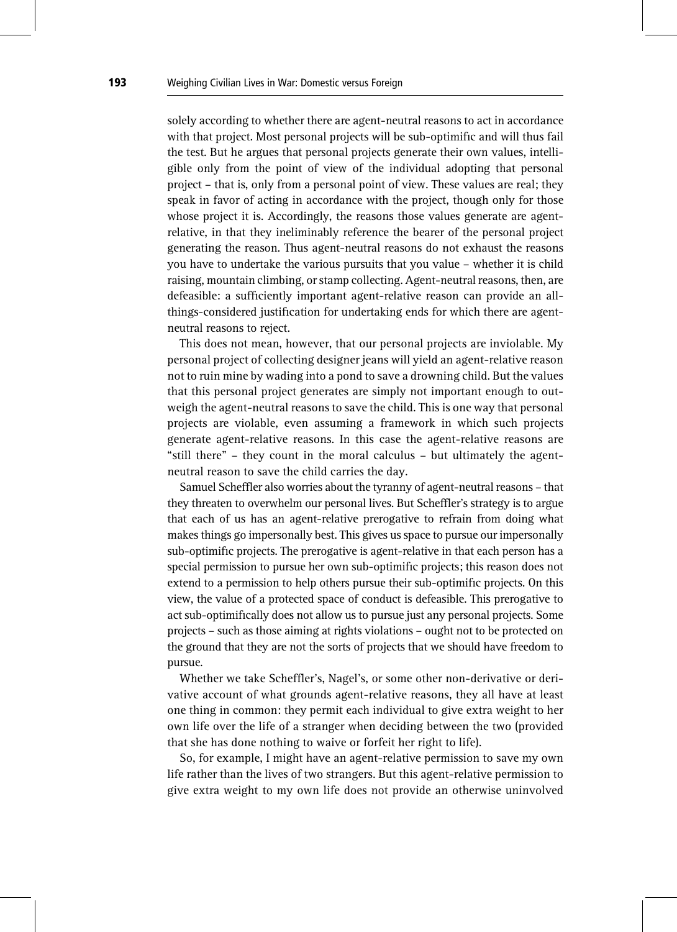solely according to whether there are agent-neutral reasons to act in accordance with that project. Most personal projects will be sub-optimific and will thus fail the test. But he argues that personal projects generate their own values, intelligible only from the point of view of the individual adopting that personal project – that is, only from a personal point of view. These values are real; they speak in favor of acting in accordance with the project, though only for those whose project it is. Accordingly, the reasons those values generate are agentrelative, in that they ineliminably reference the bearer of the personal project generating the reason. Thus agent-neutral reasons do not exhaust the reasons you have to undertake the various pursuits that you value – whether it is child raising, mountain climbing, or stamp collecting. Agent-neutral reasons, then, are defeasible: a sufficiently important agent-relative reason can provide an allthings-considered justification for undertaking ends for which there are agentneutral reasons to reject.

This does not mean, however, that our personal projects are inviolable. My personal project of collecting designer jeans will yield an agent-relative reason not to ruin mine by wading into a pond to save a drowning child. But the values that this personal project generates are simply not important enough to outweigh the agent-neutral reasons to save the child. This is one way that personal projects are violable, even assuming a framework in which such projects generate agent-relative reasons. In this case the agent-relative reasons are "still there" – they count in the moral calculus – but ultimately the agentneutral reason to save the child carries the day.

Samuel Scheffler also worries about the tyranny of agent-neutral reasons – that they threaten to overwhelm our personal lives. But Scheffler's strategy is to argue that each of us has an agent-relative prerogative to refrain from doing what makes things go impersonally best. This gives us space to pursue our impersonally sub-optimific projects. The prerogative is agent-relative in that each person has a special permission to pursue her own sub-optimific projects; this reason does not extend to a permission to help others pursue their sub-optimific projects. On this view, the value of a protected space of conduct is defeasible. This prerogative to act sub-optimifically does not allow us to pursue just any personal projects. Some projects – such as those aiming at rights violations – ought not to be protected on the ground that they are not the sorts of projects that we should have freedom to pursue.

Whether we take Scheffler's, Nagel's, or some other non-derivative or derivative account of what grounds agent-relative reasons, they all have at least one thing in common: they permit each individual to give extra weight to her own life over the life of a stranger when deciding between the two (provided that she has done nothing to waive or forfeit her right to life).

So, for example, I might have an agent-relative permission to save my own life rather than the lives of two strangers. But this agent-relative permission to give extra weight to my own life does not provide an otherwise uninvolved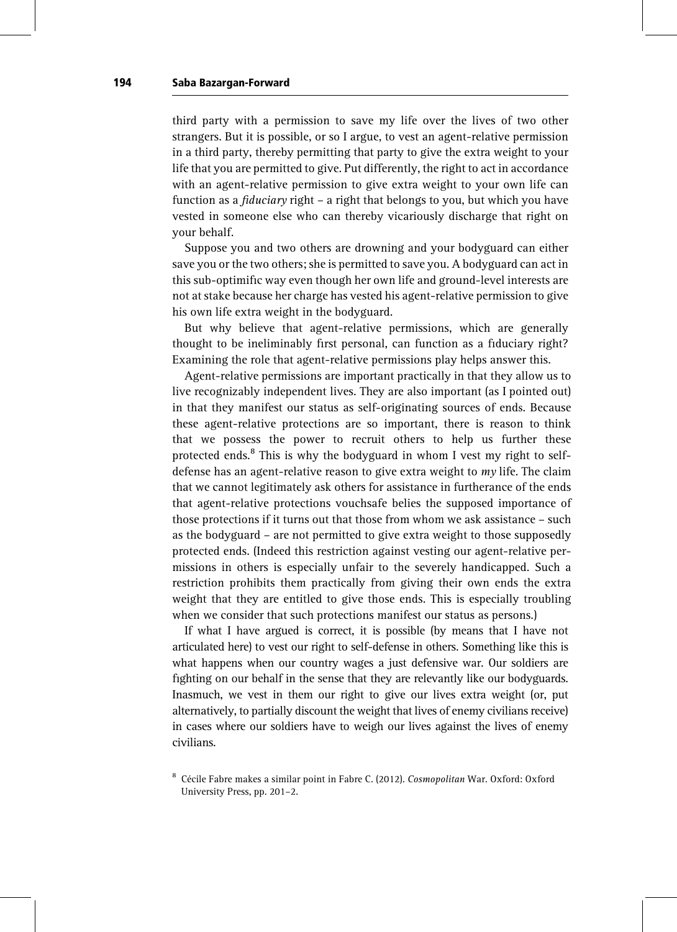third party with a permission to save my life over the lives of two other strangers. But it is possible, or so I argue, to vest an agent-relative permission in a third party, thereby permitting that party to give the extra weight to your life that you are permitted to give. Put differently, the right to act in accordance with an agent-relative permission to give extra weight to your own life can function as a fiduciary right – a right that belongs to you, but which you have vested in someone else who can thereby vicariously discharge that right on your behalf.

Suppose you and two others are drowning and your bodyguard can either save you or the two others; she is permitted to save you. A bodyguard can act in this sub-optimific way even though her own life and ground-level interests are not at stake because her charge has vested his agent-relative permission to give his own life extra weight in the bodyguard.

But why believe that agent-relative permissions, which are generally thought to be ineliminably first personal, can function as a fiduciary right? Examining the role that agent-relative permissions play helps answer this.

Agent-relative permissions are important practically in that they allow us to live recognizably independent lives. They are also important (as I pointed out) in that they manifest our status as self-originating sources of ends. Because these agent-relative protections are so important, there is reason to think that we possess the power to recruit others to help us further these protected ends.<sup>8</sup> This is why the bodyguard in whom I vest my right to selfdefense has an agent-relative reason to give extra weight to  $mv$  life. The claim that we cannot legitimately ask others for assistance in furtherance of the ends that agent-relative protections vouchsafe belies the supposed importance of those protections if it turns out that those from whom we ask assistance – such as the bodyguard – are not permitted to give extra weight to those supposedly protected ends. (Indeed this restriction against vesting our agent-relative permissions in others is especially unfair to the severely handicapped. Such a restriction prohibits them practically from giving their own ends the extra weight that they are entitled to give those ends. This is especially troubling when we consider that such protections manifest our status as persons.)

If what I have argued is correct, it is possible (by means that I have not articulated here) to vest our right to self-defense in others. Something like this is what happens when our country wages a just defensive war. Our soldiers are fighting on our behalf in the sense that they are relevantly like our bodyguards. Inasmuch, we vest in them our right to give our lives extra weight (or, put alternatively, to partially discount the weight that lives of enemy civilians receive) in cases where our soldiers have to weigh our lives against the lives of enemy civilians.

<sup>&</sup>lt;sup>8</sup> Cécile Fabre makes a similar point in Fabre C. (2012). Cosmopolitan War. Oxford: Oxford University Press, pp. 201–2.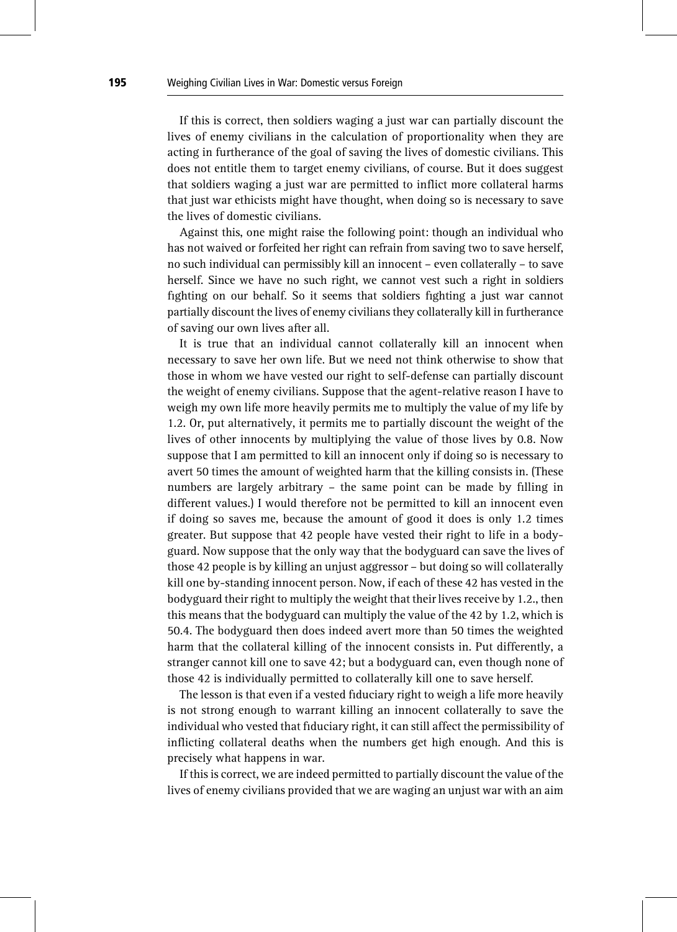If this is correct, then soldiers waging a just war can partially discount the lives of enemy civilians in the calculation of proportionality when they are acting in furtherance of the goal of saving the lives of domestic civilians. This does not entitle them to target enemy civilians, of course. But it does suggest that soldiers waging a just war are permitted to inflict more collateral harms that just war ethicists might have thought, when doing so is necessary to save the lives of domestic civilians.

Against this, one might raise the following point: though an individual who has not waived or forfeited her right can refrain from saving two to save herself, no such individual can permissibly kill an innocent – even collaterally – to save herself. Since we have no such right, we cannot vest such a right in soldiers fighting on our behalf. So it seems that soldiers fighting a just war cannot partially discount the lives of enemy civilians they collaterally kill in furtherance of saving our own lives after all.

It is true that an individual cannot collaterally kill an innocent when necessary to save her own life. But we need not think otherwise to show that those in whom we have vested our right to self-defense can partially discount the weight of enemy civilians. Suppose that the agent-relative reason I have to weigh my own life more heavily permits me to multiply the value of my life by 1.2. Or, put alternatively, it permits me to partially discount the weight of the lives of other innocents by multiplying the value of those lives by 0.8. Now suppose that I am permitted to kill an innocent only if doing so is necessary to avert 50 times the amount of weighted harm that the killing consists in. (These numbers are largely arbitrary – the same point can be made by filling in different values.) I would therefore not be permitted to kill an innocent even if doing so saves me, because the amount of good it does is only 1.2 times greater. But suppose that 42 people have vested their right to life in a bodyguard. Now suppose that the only way that the bodyguard can save the lives of those 42 people is by killing an unjust aggressor – but doing so will collaterally kill one by-standing innocent person. Now, if each of these 42 has vested in the bodyguard their right to multiply the weight that their lives receive by 1.2., then this means that the bodyguard can multiply the value of the 42 by 1.2, which is 50.4. The bodyguard then does indeed avert more than 50 times the weighted harm that the collateral killing of the innocent consists in. Put differently, a stranger cannot kill one to save 42; but a bodyguard can, even though none of those 42 is individually permitted to collaterally kill one to save herself.

The lesson is that even if a vested fiduciary right to weigh a life more heavily is not strong enough to warrant killing an innocent collaterally to save the individual who vested that fiduciary right, it can still affect the permissibility of inflicting collateral deaths when the numbers get high enough. And this is precisely what happens in war.

If this is correct, we are indeed permitted to partially discount the value of the lives of enemy civilians provided that we are waging an unjust war with an aim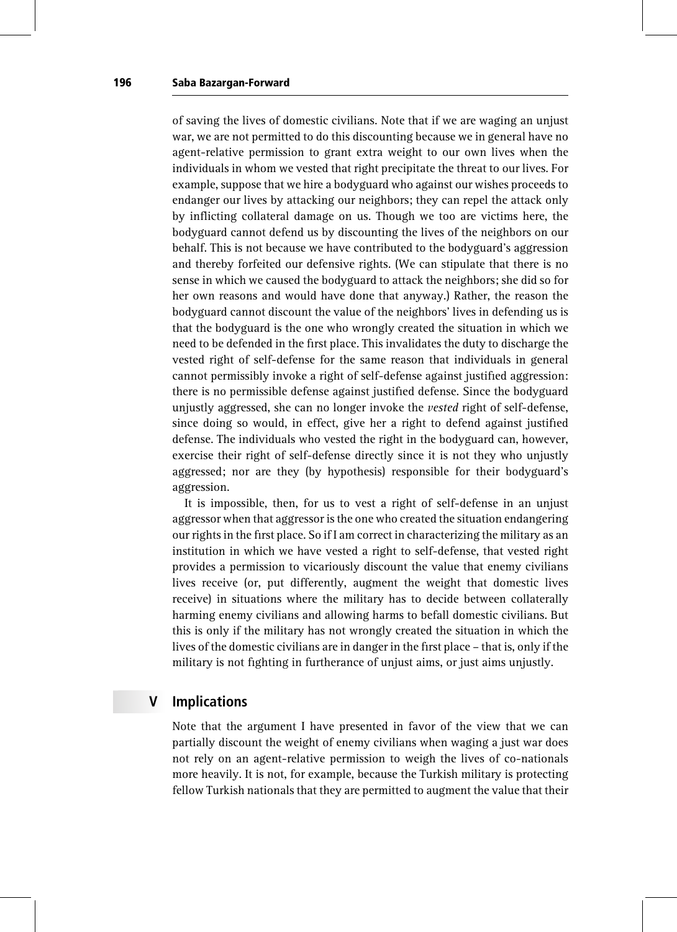of saving the lives of domestic civilians. Note that if we are waging an unjust war, we are not permitted to do this discounting because we in general have no agent-relative permission to grant extra weight to our own lives when the individuals in whom we vested that right precipitate the threat to our lives. For example, suppose that we hire a bodyguard who against our wishes proceeds to endanger our lives by attacking our neighbors; they can repel the attack only by inflicting collateral damage on us. Though we too are victims here, the bodyguard cannot defend us by discounting the lives of the neighbors on our behalf. This is not because we have contributed to the bodyguard's aggression and thereby forfeited our defensive rights. (We can stipulate that there is no sense in which we caused the bodyguard to attack the neighbors; she did so for her own reasons and would have done that anyway.) Rather, the reason the bodyguard cannot discount the value of the neighbors' lives in defending us is that the bodyguard is the one who wrongly created the situation in which we need to be defended in the first place. This invalidates the duty to discharge the vested right of self-defense for the same reason that individuals in general cannot permissibly invoke a right of self-defense against justified aggression: there is no permissible defense against justified defense. Since the bodyguard unjustly aggressed, she can no longer invoke the *vested* right of self-defense, since doing so would, in effect, give her a right to defend against justified defense. The individuals who vested the right in the bodyguard can, however, exercise their right of self-defense directly since it is not they who unjustly aggressed; nor are they (by hypothesis) responsible for their bodyguard's aggression.

It is impossible, then, for us to vest a right of self-defense in an unjust aggressor when that aggressor is the one who created the situation endangering our rights in the first place. So if I am correct in characterizing the military as an institution in which we have vested a right to self-defense, that vested right provides a permission to vicariously discount the value that enemy civilians lives receive (or, put differently, augment the weight that domestic lives receive) in situations where the military has to decide between collaterally harming enemy civilians and allowing harms to befall domestic civilians. But this is only if the military has not wrongly created the situation in which the lives of the domestic civilians are in danger in the first place – that is, only if the military is not fighting in furtherance of unjust aims, or just aims unjustly.

### V Implications

Note that the argument I have presented in favor of the view that we can partially discount the weight of enemy civilians when waging a just war does not rely on an agent-relative permission to weigh the lives of co-nationals more heavily. It is not, for example, because the Turkish military is protecting fellow Turkish nationals that they are permitted to augment the value that their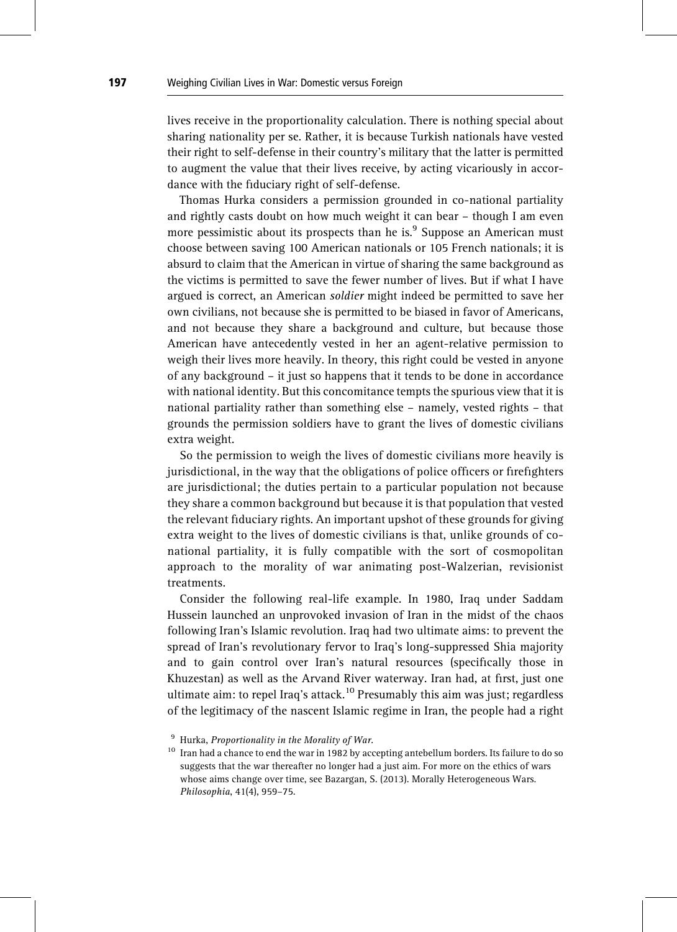lives receive in the proportionality calculation. There is nothing special about sharing nationality per se. Rather, it is because Turkish nationals have vested their right to self-defense in their country's military that the latter is permitted to augment the value that their lives receive, by acting vicariously in accordance with the fiduciary right of self-defense.

Thomas Hurka considers a permission grounded in co-national partiality and rightly casts doubt on how much weight it can bear – though I am even more pessimistic about its prospects than he is. $9$  Suppose an American must choose between saving 100 American nationals or 105 French nationals; it is absurd to claim that the American in virtue of sharing the same background as the victims is permitted to save the fewer number of lives. But if what I have argued is correct, an American soldier might indeed be permitted to save her own civilians, not because she is permitted to be biased in favor of Americans, and not because they share a background and culture, but because those American have antecedently vested in her an agent-relative permission to weigh their lives more heavily. In theory, this right could be vested in anyone of any background – it just so happens that it tends to be done in accordance with national identity. But this concomitance tempts the spurious view that it is national partiality rather than something else – namely, vested rights – that grounds the permission soldiers have to grant the lives of domestic civilians extra weight.

So the permission to weigh the lives of domestic civilians more heavily is jurisdictional, in the way that the obligations of police officers or firefighters are jurisdictional; the duties pertain to a particular population not because they share a common background but because it is that population that vested the relevant fiduciary rights. An important upshot of these grounds for giving extra weight to the lives of domestic civilians is that, unlike grounds of conational partiality, it is fully compatible with the sort of cosmopolitan approach to the morality of war animating post-Walzerian, revisionist treatments.

Consider the following real-life example. In 1980, Iraq under Saddam Hussein launched an unprovoked invasion of Iran in the midst of the chaos following Iran's Islamic revolution. Iraq had two ultimate aims: to prevent the spread of Iran's revolutionary fervor to Iraq's long-suppressed Shia majority and to gain control over Iran's natural resources (specifically those in Khuzestan) as well as the Arvand River waterway. Iran had, at first, just one ultimate aim: to repel Iraq's attack.<sup>10</sup> Presumably this aim was just; regardless of the legitimacy of the nascent Islamic regime in Iran, the people had a right

 $9$  Hurka, Proportionality in the Morality of War.

 $^{10}\,$  Iran had a chance to end the war in 1982 by accepting antebellum borders. Its failure to do so suggests that the war thereafter no longer had a just aim. For more on the ethics of wars whose aims change over time, see Bazargan, S. (2013). Morally Heterogeneous Wars. Philosophia, 41(4), 959–75.